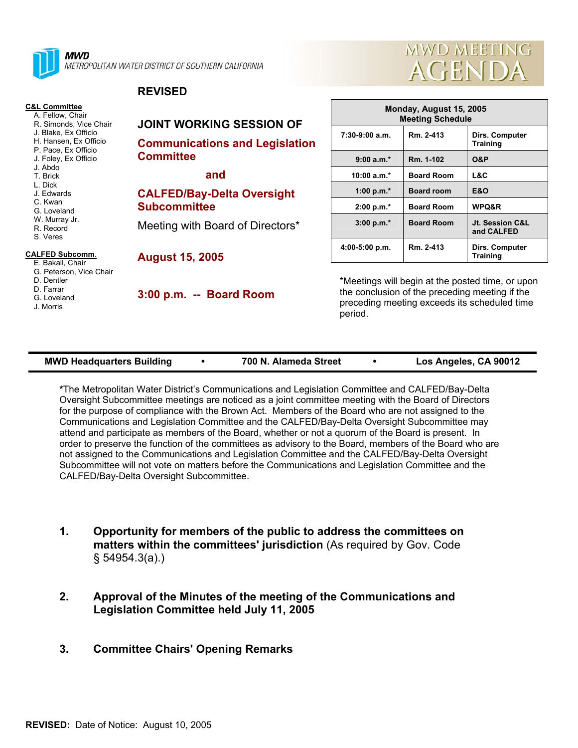



## **REVISED**

| <b>C&amp;L Committee</b><br>A. Fellow, Chair<br>R. Simonds, Vice Chair                                                                                                                                                                                                                                                                           | <b>JOINT WORKING SESSION OF</b><br><b>Communications and Legislation</b><br><b>Committee</b> | Monday, August 15, 2005<br><b>Meeting Schedule</b>                                                                                                            |                   |                                   |
|--------------------------------------------------------------------------------------------------------------------------------------------------------------------------------------------------------------------------------------------------------------------------------------------------------------------------------------------------|----------------------------------------------------------------------------------------------|---------------------------------------------------------------------------------------------------------------------------------------------------------------|-------------------|-----------------------------------|
| J. Blake, Ex Officio<br>H. Hansen, Ex Officio<br>P. Pace, Ex Officio<br>J. Foley, Ex Officio<br>J. Abdo<br>T. Brick<br>L. Dick<br>J. Edwards<br>C. Kwan<br>G. Loveland<br>W. Murray Jr.<br>R. Record<br>S. Veres<br><b>CALFED Subcomm.</b><br>E. Bakall, Chair<br>G. Peterson, Vice Chair<br>D. Dentler<br>D. Farrar<br>G. Loveland<br>J. Morris |                                                                                              | $7:30-9:00$ a.m.                                                                                                                                              | Rm. 2-413         | Dirs. Computer<br><b>Training</b> |
|                                                                                                                                                                                                                                                                                                                                                  |                                                                                              | $9:00 a.m.*$                                                                                                                                                  | Rm. 1-102         | <b>O&amp;P</b>                    |
|                                                                                                                                                                                                                                                                                                                                                  | and                                                                                          | 10:00 $a.m.*$                                                                                                                                                 | <b>Board Room</b> | L&C                               |
|                                                                                                                                                                                                                                                                                                                                                  | <b>CALFED/Bay-Delta Oversight</b><br><b>Subcommittee</b>                                     | 1:00 p.m. $*$                                                                                                                                                 | <b>Board room</b> | <b>E&amp;O</b>                    |
|                                                                                                                                                                                                                                                                                                                                                  |                                                                                              | $2:00 p.m.*$                                                                                                                                                  | <b>Board Room</b> | WPQ&R                             |
|                                                                                                                                                                                                                                                                                                                                                  | Meeting with Board of Directors*                                                             | $3:00 p.m.*$                                                                                                                                                  | <b>Board Room</b> | Jt. Session C&L<br>and CALFED     |
|                                                                                                                                                                                                                                                                                                                                                  | <b>August 15, 2005</b>                                                                       | 4:00-5:00 p.m.                                                                                                                                                | Rm. 2-413         | Dirs. Computer<br><b>Training</b> |
|                                                                                                                                                                                                                                                                                                                                                  | 3:00 p.m. -- Board Room                                                                      | *Meetings will begin at the posted time, or upon<br>the conclusion of the preceding meeting if the<br>preceding meeting exceeds its scheduled time<br>period. |                   |                                   |

| <b>MWD Headquarters Building</b><br>700 N. Alameda Street | Los Angeles, CA 90012 |
|-----------------------------------------------------------|-----------------------|
|-----------------------------------------------------------|-----------------------|

**\***The Metropolitan Water District's Communications and Legislation Committee and CALFED/Bay-Delta Oversight Subcommittee meetings are noticed as a joint committee meeting with the Board of Directors for the purpose of compliance with the Brown Act. Members of the Board who are not assigned to the Communications and Legislation Committee and the CALFED/Bay-Delta Oversight Subcommittee may attend and participate as members of the Board, whether or not a quorum of the Board is present. In order to preserve the function of the committees as advisory to the Board, members of the Board who are not assigned to the Communications and Legislation Committee and the CALFED/Bay-Delta Oversight Subcommittee will not vote on matters before the Communications and Legislation Committee and the CALFED/Bay-Delta Oversight Subcommittee.

- **1. Opportunity for members of the public to address the committees on matters within the committees' jurisdiction** (As required by Gov. Code § 54954.3(a).)
- **2. Approval of the Minutes of the meeting of the Communications and Legislation Committee held July 11, 2005**
- **3. Committee Chairs' Opening Remarks**